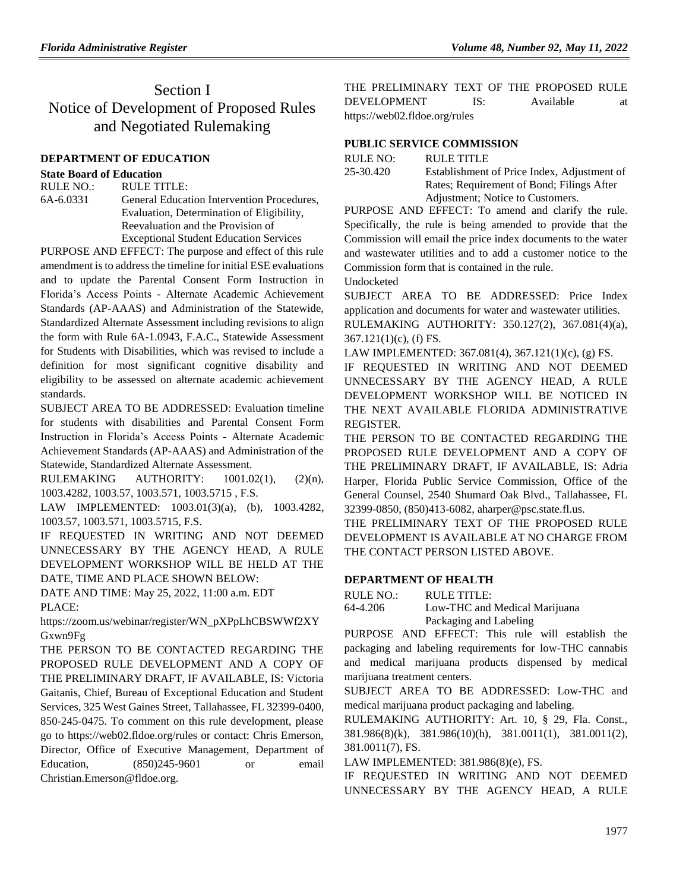## Section I Notice of Development of Proposed Rules and Negotiated Rulemaking

#### **[DEPARTMENT OF EDUCATION](https://www.flrules.org/gateway/department.asp?id=6)**

#### **[State Board of Education](https://www.flrules.org/gateway/organization.asp?id=195)**

RULE NO.: RULE TITLE: [6A-6.0331](https://www.flrules.org/gateway/ruleNo.asp?id=6A-6.0331) General Education Intervention Procedures, Evaluation, Determination of Eligibility, Reevaluation and the Provision of Exceptional Student Education Services

PURPOSE AND EFFECT: The purpose and effect of this rule amendment is to address the timeline for initial ESE evaluations and to update the Parental Consent Form Instruction in Florida's Access Points - Alternate Academic Achievement Standards (AP-AAAS) and Administration of the Statewide, Standardized Alternate Assessment including revisions to align the form with Rule 6A-1.0943, F.A.C., Statewide Assessment for Students with Disabilities, which was revised to include a definition for most significant cognitive disability and eligibility to be assessed on alternate academic achievement standards.

SUBJECT AREA TO BE ADDRESSED: Evaluation timeline for students with disabilities and Parental Consent Form Instruction in Florida's Access Points - Alternate Academic Achievement Standards (AP-AAAS) and Administration of the Statewide, Standardized Alternate Assessment.

RULEMAKING AUTHORITY: [1001.02\(1\),](https://www.flrules.org/gateway/statute.asp?id=1001.02(1)) (2)(n), [1003.4282,](https://www.flrules.org/gateway/statute.asp?id=%201003.4282) [1003.57,](https://www.flrules.org/gateway/statute.asp?id=%201003.57) [1003.571,](https://www.flrules.org/gateway/statute.asp?id=%201003.571) [1003.5715 ,](https://www.flrules.org/gateway/statute.asp?id=%201003.5715) F.S.

LAW IMPLEMENTED: [1003.01\(3\)\(a\),](https://www.flrules.org/gateway/statute.asp?id=1003.01(3)(a)) (b), [1003.4282,](https://www.flrules.org/gateway/statute.asp?id=%201003.4282) [1003.57,](https://www.flrules.org/gateway/statute.asp?id=%201003.57) [1003.571,](https://www.flrules.org/gateway/statute.asp?id=%201003.571) [1003.5715,](https://www.flrules.org/gateway/statute.asp?id=%201003.5715) F.S.

IF REQUESTED IN WRITING AND NOT DEEMED UNNECESSARY BY THE AGENCY HEAD, A RULE DEVELOPMENT WORKSHOP WILL BE HELD AT THE DATE, TIME AND PLACE SHOWN BELOW:

DATE AND TIME: May 25, 2022, 11:00 a.m. EDT PLACE:

https://zoom.us/webinar/register/WN\_pXPpLhCBSWWf2XY Gxwn9Fg

THE PERSON TO BE CONTACTED REGARDING THE PROPOSED RULE DEVELOPMENT AND A COPY OF THE PRELIMINARY DRAFT, IF AVAILABLE, IS: Victoria Gaitanis, Chief, Bureau of Exceptional Education and Student Services, 325 West Gaines Street, Tallahassee, FL 32399-0400, 850-245-0475. To comment on this rule development, please go to https://web02.fldoe.org/rules or contact: Chris Emerson, Director, Office of Executive Management, Department of Education, (850)245-9601 or email Christian.Emerson@fldoe.org.

THE PRELIMINARY TEXT OF THE PROPOSED RULE DEVELOPMENT IS: Available at <https://web02.fldoe.org/rules>

### **[PUBLIC SERVICE COMMISSION](https://www.flrules.org/gateway/department.asp?id=25)**

| RULE NO:  | RULE TITLE                                  |
|-----------|---------------------------------------------|
| 25-30.420 | Establishment of Price Index, Adjustment of |
|           | Rates; Requirement of Bond; Filings After   |
|           | Adjustment; Notice to Customers.            |

PURPOSE AND EFFECT: To amend and clarify the rule. Specifically, the rule is being amended to provide that the Commission will email the price index documents to the water and wastewater utilities and to add a customer notice to the Commission form that is contained in the rule.

Undocketed

SUBJECT AREA TO BE ADDRESSED: Price Index application and documents for water and wastewater utilities. RULEMAKING AUTHORITY: 350.127(2), 367.081(4)(a),

367.121(1)(c), (f) FS.

LAW IMPLEMENTED: 367.081(4), 367.121(1)(c), (g) FS.

IF REQUESTED IN WRITING AND NOT DEEMED UNNECESSARY BY THE AGENCY HEAD, A RULE DEVELOPMENT WORKSHOP WILL BE NOTICED IN THE NEXT AVAILABLE FLORIDA ADMINISTRATIVE REGISTER.

THE PERSON TO BE CONTACTED REGARDING THE PROPOSED RULE DEVELOPMENT AND A COPY OF THE PRELIMINARY DRAFT, IF AVAILABLE, IS: Adria Harper, Florida Public Service Commission, Office of the General Counsel, 2540 Shumard Oak Blvd., Tallahassee, FL 32399-0850, (850)413-6082, aharper@psc.state.fl.us.

THE PRELIMINARY TEXT OF THE PROPOSED RULE DEVELOPMENT IS AVAILABLE AT NO CHARGE FROM THE CONTACT PERSON LISTED ABOVE.

### **[DEPARTMENT OF HEALTH](https://www.flrules.org/gateway/department.asp?id=64)**

RULE NO.: RULE TITLE: [64-4.206](https://www.flrules.org/gateway/ruleNo.asp?id=64-4.206) Low-THC and Medical Marijuana Packaging and Labeling

PURPOSE AND EFFECT: This rule will establish the packaging and labeling requirements for low-THC cannabis and medical marijuana products dispensed by medical marijuana treatment centers.

SUBJECT AREA TO BE ADDRESSED: Low-THC and medical marijuana product packaging and labeling.

RULEMAKING AUTHORITY: [Art. 10, § 29, Fla. Const.,](https://www.flrules.org/gateway/flconstitution.asp?id=Art.%2010,%20§%2029,%20Fla.%20Const.,)  [381.986\(8\)\(k\),](https://www.flrules.org/gateway/statute.asp?id=%20381.986(8)(k)) [381.986\(10\)\(h\),](https://www.flrules.org/gateway/statute.asp?id=%20381.986(10)(h)) [381.0011\(1\),](https://www.flrules.org/gateway/statute.asp?id=%20381.0011(1)) [381.0011\(2\),](https://www.flrules.org/gateway/statute.asp?id=%20381.0011(2)) [381.0011\(7\),](https://www.flrules.org/gateway/statute.asp?id=%20381.0011(7)) FS.

LAW IMPLEMENTED: [381.986\(8\)\(e\),](https://www.flrules.org/gateway/statute.asp?id=381.986(8)(e)) FS.

IF REQUESTED IN WRITING AND NOT DEEMED UNNECESSARY BY THE AGENCY HEAD, A RULE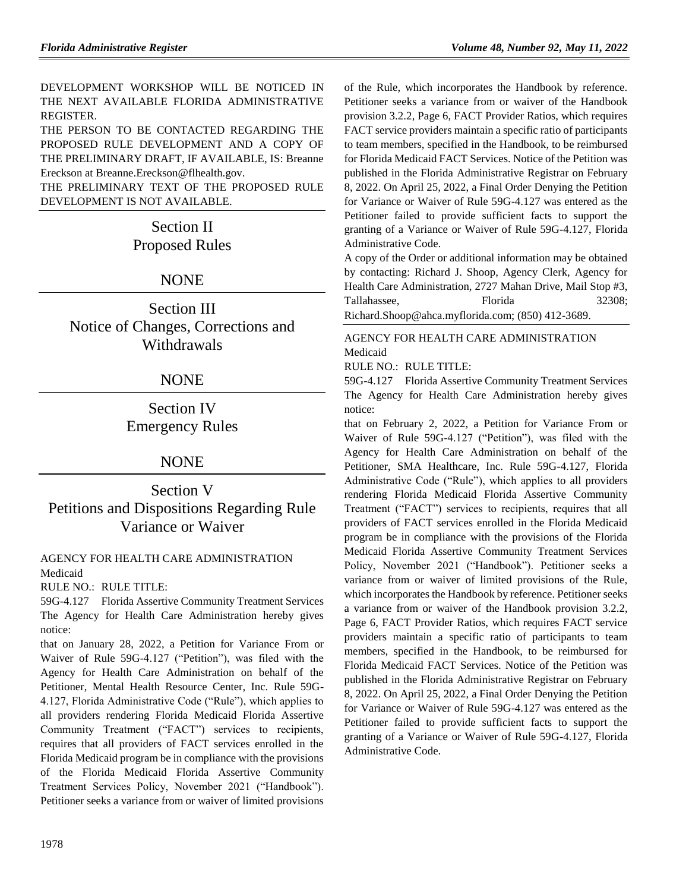DEVELOPMENT WORKSHOP WILL BE NOTICED IN THE NEXT AVAILABLE FLORIDA ADMINISTRATIVE REGISTER.

THE PERSON TO BE CONTACTED REGARDING THE PROPOSED RULE DEVELOPMENT AND A COPY OF THE PRELIMINARY DRAFT, IF AVAILABLE, IS: Breanne Ereckson at Breanne.Ereckson@flhealth.gov.

THE PRELIMINARY TEXT OF THE PROPOSED RULE DEVELOPMENT IS NOT AVAILABLE.

# Section II Proposed Rules

## NONE

Section III Notice of Changes, Corrections and Withdrawals

## NONE

Section IV Emergency Rules

## NONE

Section V Petitions and Dispositions Regarding Rule Variance or Waiver

[AGENCY FOR HEALTH CARE ADMINISTRATION](https://www.flrules.org/gateway/department.asp?id=59) [Medicaid](https://www.flrules.org/gateway/organization.asp?id=192)

RULE NO.: RULE TITLE:

[59G-4.127](https://www.flrules.org/gateway/ruleNo.asp?id=59G-4.127) Florida Assertive Community Treatment Services The Agency for Health Care Administration hereby gives notice:

that on January 28, 2022, a Petition for Variance From or Waiver of Rule 59G-4.127 ("Petition"), was filed with the Agency for Health Care Administration on behalf of the Petitioner, Mental Health Resource Center, Inc. Rule 59G-4.127, Florida Administrative Code ("Rule"), which applies to all providers rendering Florida Medicaid Florida Assertive Community Treatment ("FACT") services to recipients, requires that all providers of FACT services enrolled in the Florida Medicaid program be in compliance with the provisions of the Florida Medicaid Florida Assertive Community Treatment Services Policy, November 2021 ("Handbook"). Petitioner seeks a variance from or waiver of limited provisions of the Rule, which incorporates the Handbook by reference. Petitioner seeks a variance from or waiver of the Handbook provision 3.2.2, Page 6, FACT Provider Ratios, which requires FACT service providers maintain a specific ratio of participants to team members, specified in the Handbook, to be reimbursed for Florida Medicaid FACT Services. Notice of the Petition was published in the Florida Administrative Registrar on February 8, 2022. On April 25, 2022, a Final Order Denying the Petition for Variance or Waiver of Rule 59G-4.127 was entered as the Petitioner failed to provide sufficient facts to support the granting of a Variance or Waiver of Rule 59G-4.127, Florida Administrative Code.

A copy of the Order or additional information may be obtained by contacting: Richard J. Shoop, Agency Clerk, Agency for Health Care Administration, 2727 Mahan Drive, Mail Stop #3, Tallahassee. Florida 32308: Richard.Shoop@ahca.myflorida.com; (850) 412-3689.

## [AGENCY FOR HEALTH CARE ADMINISTRATION](https://www.flrules.org/gateway/department.asp?id=59) [Medicaid](https://www.flrules.org/gateway/organization.asp?id=192)

RULE NO.: RULE TITLE:

[59G-4.127](https://www.flrules.org/gateway/ruleNo.asp?id=59G-4.127) Florida Assertive Community Treatment Services The Agency for Health Care Administration hereby gives notice:

that on February 2, 2022, a Petition for Variance From or Waiver of Rule 59G-4.127 ("Petition"), was filed with the Agency for Health Care Administration on behalf of the Petitioner, SMA Healthcare, Inc. Rule 59G-4.127, Florida Administrative Code ("Rule"), which applies to all providers rendering Florida Medicaid Florida Assertive Community Treatment ("FACT") services to recipients, requires that all providers of FACT services enrolled in the Florida Medicaid program be in compliance with the provisions of the Florida Medicaid Florida Assertive Community Treatment Services Policy, November 2021 ("Handbook"). Petitioner seeks a variance from or waiver of limited provisions of the Rule, which incorporates the Handbook by reference. Petitioner seeks a variance from or waiver of the Handbook provision 3.2.2, Page 6, FACT Provider Ratios, which requires FACT service providers maintain a specific ratio of participants to team members, specified in the Handbook, to be reimbursed for Florida Medicaid FACT Services. Notice of the Petition was published in the Florida Administrative Registrar on February 8, 2022. On April 25, 2022, a Final Order Denying the Petition for Variance or Waiver of Rule 59G-4.127 was entered as the Petitioner failed to provide sufficient facts to support the granting of a Variance or Waiver of Rule 59G-4.127, Florida Administrative Code.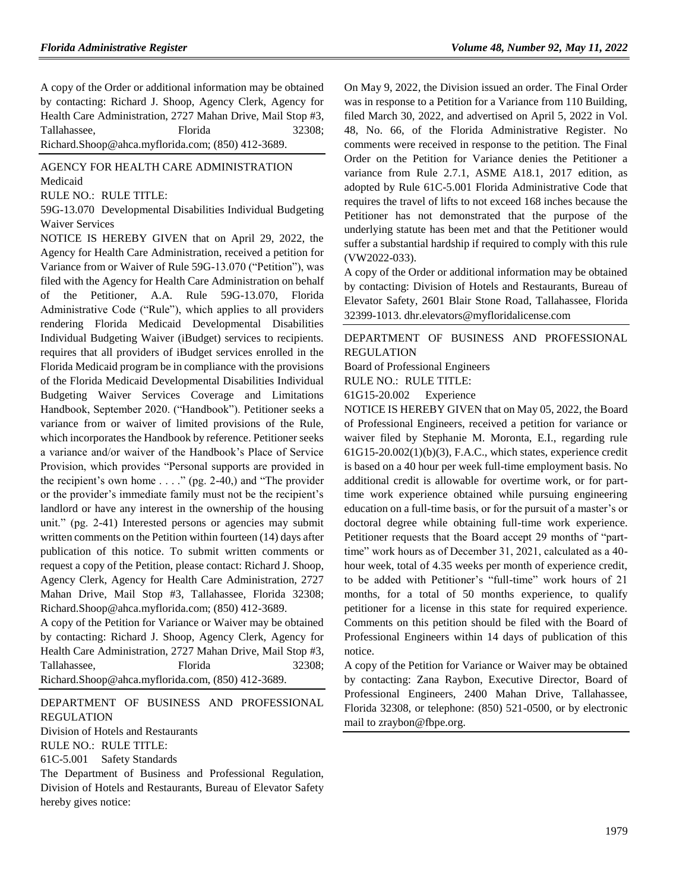A copy of the Order or additional information may be obtained by contacting: Richard J. Shoop, Agency Clerk, Agency for Health Care Administration, 2727 Mahan Drive, Mail Stop #3, Tallahassee, Florida 32308; Richard.Shoop@ahca.myflorida.com; (850) 412-3689.

#### [AGENCY FOR HEALTH CARE ADMINISTRATION](https://www.flrules.org/gateway/department.asp?id=59) [Medicaid](https://www.flrules.org/gateway/organization.asp?id=192)

RULE NO.: RULE TITLE:

[59G-13.070](https://www.flrules.org/gateway/ruleNo.asp?id=59G-13.070) Developmental Disabilities Individual Budgeting Waiver Services

NOTICE IS HEREBY GIVEN that on April 29, 2022, the Agency for Health Care Administration, received a petition for Variance from or Waiver of Rule 59G-13.070 ("Petition"), was filed with the Agency for Health Care Administration on behalf of the Petitioner, A.A. Rule 59G-13.070, Florida Administrative Code ("Rule"), which applies to all providers rendering Florida Medicaid Developmental Disabilities Individual Budgeting Waiver (iBudget) services to recipients. requires that all providers of iBudget services enrolled in the Florida Medicaid program be in compliance with the provisions of the Florida Medicaid Developmental Disabilities Individual Budgeting Waiver Services Coverage and Limitations Handbook, September 2020. ("Handbook"). Petitioner seeks a variance from or waiver of limited provisions of the Rule, which incorporates the Handbook by reference. Petitioner seeks a variance and/or waiver of the Handbook's Place of Service Provision, which provides "Personal supports are provided in the recipient's own home  $\dots$  ." (pg. 2-40,) and "The provider or the provider's immediate family must not be the recipient's landlord or have any interest in the ownership of the housing unit." (pg. 2-41) Interested persons or agencies may submit written comments on the Petition within fourteen (14) days after publication of this notice. To submit written comments or request a copy of the Petition, please contact: Richard J. Shoop, Agency Clerk, Agency for Health Care Administration, 2727 Mahan Drive, Mail Stop #3, Tallahassee, Florida 32308; Richard.Shoop@ahca.myflorida.com; (850) 412-3689.

A copy of the Petition for Variance or Waiver may be obtained by contacting: Richard J. Shoop, Agency Clerk, Agency for Health Care Administration, 2727 Mahan Drive, Mail Stop #3, Tallahassee. Florida 32308: Richard.Shoop@ahca.myflorida.com, (850) 412-3689.

[DEPARTMENT OF BUSINESS AND PROFESSIONAL](https://www.flrules.org/gateway/department.asp?id=61)  [REGULATION](https://www.flrules.org/gateway/department.asp?id=61)

[Division of Hotels and Restaurants](https://www.flrules.org/gateway/organization.asp?id=249) RULE NO.: RULE TITLE:

[61C-5.001](https://www.flrules.org/gateway/ruleNo.asp?id=61C-5.001) Safety Standards

The Department of Business and Professional Regulation, Division of Hotels and Restaurants, Bureau of Elevator Safety hereby gives notice:

On May 9, 2022, the Division issued an order. The Final Order was in response to a Petition for a Variance from 110 Building, filed March 30, 2022, and advertised on April 5, 2022 in Vol. 48, No. 66, of the Florida Administrative Register. No comments were received in response to the petition. The Final Order on the Petition for Variance denies the Petitioner a variance from Rule 2.7.1, ASME A18.1, 2017 edition, as adopted by Rule 61C-5.001 Florida Administrative Code that requires the travel of lifts to not exceed 168 inches because the Petitioner has not demonstrated that the purpose of the underlying statute has been met and that the Petitioner would suffer a substantial hardship if required to comply with this rule (VW2022-033).

A copy of the Order or additional information may be obtained by contacting: Division of Hotels and Restaurants, Bureau of Elevator Safety, 2601 Blair Stone Road, Tallahassee, Florida 32399-1013. dhr.elevators@myfloridalicense.com

#### [DEPARTMENT OF BUSINESS AND PROFESSIONAL](https://www.flrules.org/gateway/department.asp?id=61)  [REGULATION](https://www.flrules.org/gateway/department.asp?id=61)

[Board of Professional Engineers](https://www.flrules.org/gateway/organization.asp?id=267)

RULE NO.: RULE TITLE:

[61G15-20.002](https://www.flrules.org/gateway/ruleNo.asp?id=61G15-20.002) Experience

NOTICE IS HEREBY GIVEN that on May 05, 2022, the Board of Professional Engineers, received a petition for variance or waiver filed by Stephanie M. Moronta, E.I., regarding rule 61G15-20.002(1)(b)(3), F.A.C., which states, experience credit is based on a 40 hour per week full-time employment basis. No additional credit is allowable for overtime work, or for parttime work experience obtained while pursuing engineering education on a full-time basis, or for the pursuit of a master's or doctoral degree while obtaining full-time work experience. Petitioner requests that the Board accept 29 months of "parttime" work hours as of December 31, 2021, calculated as a 40 hour week, total of 4.35 weeks per month of experience credit, to be added with Petitioner's "full-time" work hours of 21 months, for a total of 50 months experience, to qualify petitioner for a license in this state for required experience. Comments on this petition should be filed with the Board of Professional Engineers within 14 days of publication of this notice.

A copy of the Petition for Variance or Waiver may be obtained by contacting: Zana Raybon, Executive Director, Board of Professional Engineers, 2400 Mahan Drive, Tallahassee, Florida 32308, or telephone: (850) 521-0500, or by electronic mail to zraybon@fbpe.org.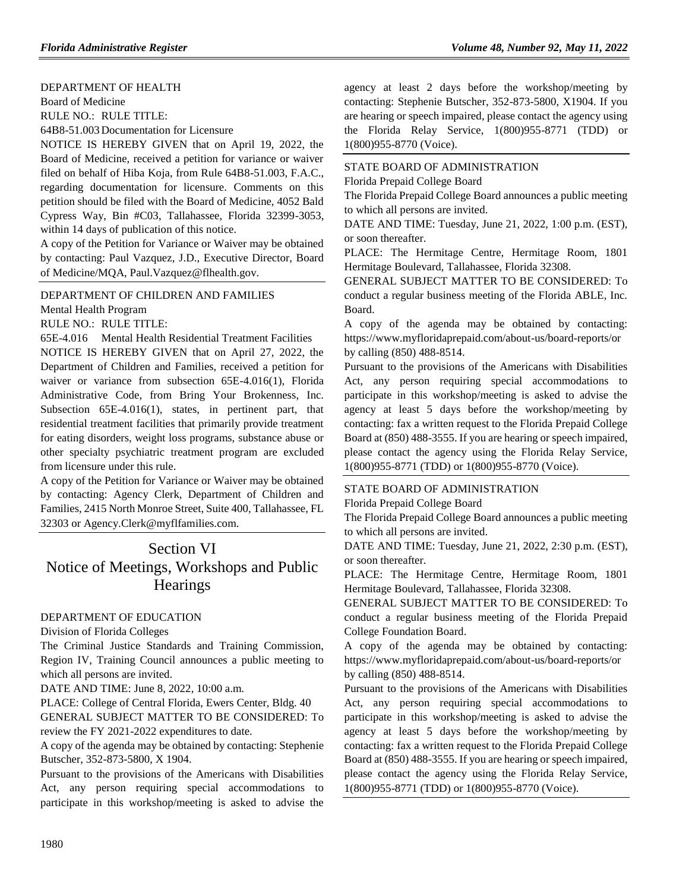#### [DEPARTMENT OF HEALTH](https://www.flrules.org/gateway/department.asp?id=64)

[Board of Medicine](https://www.flrules.org/gateway/organization.asp?id=331) RULE NO.: RULE TITLE:

[64B8-51.003](https://www.flrules.org/gateway/ruleNo.asp?id=64B8-51.003) Documentation for Licensure

NOTICE IS HEREBY GIVEN that on April 19, 2022, the Board of Medicine, received a petition for variance or waiver filed on behalf of Hiba Koja, from Rule 64B8-51.003, F.A.C., regarding documentation for licensure. Comments on this petition should be filed with the Board of Medicine, 4052 Bald Cypress Way, Bin #C03, Tallahassee, Florida 32399-3053, within 14 days of publication of this notice.

A copy of the Petition for Variance or Waiver may be obtained by contacting: Paul Vazquez, J.D., Executive Director, Board of Medicine/MQA, Paul.Vazquez@flhealth.gov.

[DEPARTMENT OF CHILDREN AND FAMILIES](https://www.flrules.org/gateway/department.asp?id=65)

[Mental Health Program](https://www.flrules.org/gateway/organization.asp?id=344)

RULE NO.: RULE TITLE:

[65E-4.016](https://www.flrules.org/gateway/ruleNo.asp?id=65E-4.016) Mental Health Residential Treatment Facilities

NOTICE IS HEREBY GIVEN that on April 27, 2022, the Department of Children and Families, received a petition for waiver or variance from subsection 65E-4.016(1), Florida Administrative Code, from Bring Your Brokenness, Inc. Subsection 65E-4.016(1), states, in pertinent part, that residential treatment facilities that primarily provide treatment for eating disorders, weight loss programs, substance abuse or other specialty psychiatric treatment program are excluded from licensure under this rule.

A copy of the Petition for Variance or Waiver may be obtained by contacting: Agency Clerk, Department of Children and Families, 2415 North Monroe Street, Suite 400, Tallahassee, FL 32303 or Agency.Clerk@myflfamilies.com.

## Section VI Notice of Meetings, Workshops and Public **Hearings**

#### [DEPARTMENT OF EDUCATION](https://www.flrules.org/gateway/department.asp?id=6)

#### [Division of Florida Colleges](https://www.flrules.org/gateway/organization.asp?id=212)

The Criminal Justice Standards and Training Commission, Region IV, Training Council announces a public meeting to which all persons are invited.

DATE AND TIME: June 8, 2022, 10:00 a.m.

PLACE: College of Central Florida, Ewers Center, Bldg. 40 GENERAL SUBJECT MATTER TO BE CONSIDERED: To review the FY 2021-2022 expenditures to date.

A copy of the agenda may be obtained by contacting: Stephenie Butscher, 352-873-5800, X 1904.

Pursuant to the provisions of the Americans with Disabilities Act, any person requiring special accommodations to participate in this workshop/meeting is asked to advise the agency at least 2 days before the workshop/meeting by contacting: Stephenie Butscher, 352-873-5800, X1904. If you are hearing or speech impaired, please contact the agency using the Florida Relay Service, 1(800)955-8771 (TDD) or 1(800)955-8770 (Voice).

## [STATE BOARD OF ADMINISTRATION](https://www.flrules.org/gateway/department.asp?id=19)

[Florida Prepaid College Board](https://www.flrules.org/gateway/organization.asp?id=47)

The Florida Prepaid College Board announces a public meeting to which all persons are invited.

DATE AND TIME: Tuesday, June 21, 2022, 1:00 p.m. (EST), or soon thereafter.

PLACE: The Hermitage Centre, Hermitage Room, 1801 Hermitage Boulevard, Tallahassee, Florida 32308.

GENERAL SUBJECT MATTER TO BE CONSIDERED: To conduct a regular business meeting of the Florida ABLE, Inc. Board.

A copy of the agenda may be obtained by contacting: https://www.myfloridaprepaid.com/about-us/board-reports/or by calling (850) 488-8514.

Pursuant to the provisions of the Americans with Disabilities Act, any person requiring special accommodations to participate in this workshop/meeting is asked to advise the agency at least 5 days before the workshop/meeting by contacting: fax a written request to the Florida Prepaid College Board at (850) 488-3555. If you are hearing or speech impaired, please contact the agency using the Florida Relay Service, 1(800)955-8771 (TDD) or 1(800)955-8770 (Voice).

#### [STATE BOARD OF ADMINISTRATION](https://www.flrules.org/gateway/department.asp?id=19)

[Florida Prepaid College Board](https://www.flrules.org/gateway/organization.asp?id=47)

The Florida Prepaid College Board announces a public meeting to which all persons are invited.

DATE AND TIME: Tuesday, June 21, 2022, 2:30 p.m. (EST), or soon thereafter.

PLACE: The Hermitage Centre, Hermitage Room, 1801 Hermitage Boulevard, Tallahassee, Florida 32308.

GENERAL SUBJECT MATTER TO BE CONSIDERED: To conduct a regular business meeting of the Florida Prepaid College Foundation Board.

A copy of the agenda may be obtained by contacting: https://www.myfloridaprepaid.com/about-us/board-reports/or by calling (850) 488-8514.

Pursuant to the provisions of the Americans with Disabilities Act, any person requiring special accommodations to participate in this workshop/meeting is asked to advise the agency at least 5 days before the workshop/meeting by contacting: fax a written request to the Florida Prepaid College Board at (850) 488-3555. If you are hearing or speech impaired, please contact the agency using the Florida Relay Service, 1(800)955-8771 (TDD) or 1(800)955-8770 (Voice).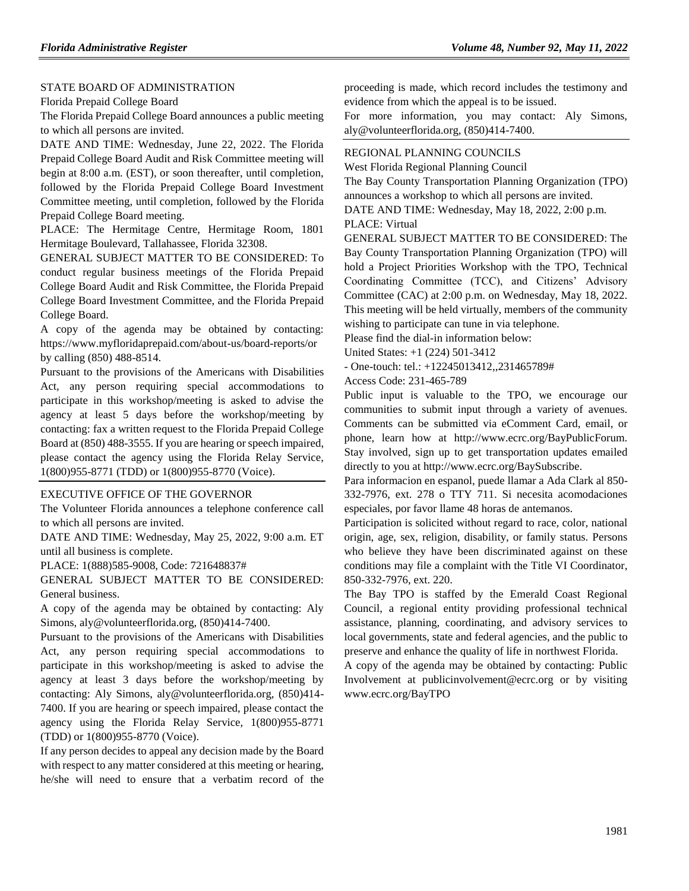### [STATE BOARD OF ADMINISTRATION](https://www.flrules.org/gateway/department.asp?id=19)

[Florida Prepaid College Board](https://www.flrules.org/gateway/organization.asp?id=47)

The Florida Prepaid College Board announces a public meeting to which all persons are invited.

DATE AND TIME: Wednesday, June 22, 2022. The Florida Prepaid College Board Audit and Risk Committee meeting will begin at 8:00 a.m. (EST), or soon thereafter, until completion, followed by the Florida Prepaid College Board Investment Committee meeting, until completion, followed by the Florida Prepaid College Board meeting.

PLACE: The Hermitage Centre, Hermitage Room, 1801 Hermitage Boulevard, Tallahassee, Florida 32308.

GENERAL SUBJECT MATTER TO BE CONSIDERED: To conduct regular business meetings of the Florida Prepaid College Board Audit and Risk Committee, the Florida Prepaid College Board Investment Committee, and the Florida Prepaid College Board.

A copy of the agenda may be obtained by contacting: https://www.myfloridaprepaid.com/about-us/board-reports/or by calling (850) 488-8514.

Pursuant to the provisions of the Americans with Disabilities Act, any person requiring special accommodations to participate in this workshop/meeting is asked to advise the agency at least 5 days before the workshop/meeting by contacting: fax a written request to the Florida Prepaid College Board at (850) 488-3555. If you are hearing or speech impaired, please contact the agency using the Florida Relay Service, 1(800)955-8771 (TDD) or 1(800)955-8770 (Voice).

#### [EXECUTIVE OFFICE OF THE GOVERNOR](https://www.flrules.org/gateway/department.asp?id=27)

The Volunteer Florida announces a telephone conference call to which all persons are invited.

DATE AND TIME: Wednesday, May 25, 2022, 9:00 a.m. ET until all business is complete.

PLACE: 1(888)585-9008, Code: 721648837#

GENERAL SUBJECT MATTER TO BE CONSIDERED: General business.

A copy of the agenda may be obtained by contacting: Aly Simons, aly@volunteerflorida.org, (850)414-7400.

Pursuant to the provisions of the Americans with Disabilities Act, any person requiring special accommodations to participate in this workshop/meeting is asked to advise the agency at least 3 days before the workshop/meeting by contacting: Aly Simons, aly@volunteerflorida.org, (850)414- 7400. If you are hearing or speech impaired, please contact the agency using the Florida Relay Service, 1(800)955-8771 (TDD) or 1(800)955-8770 (Voice).

If any person decides to appeal any decision made by the Board with respect to any matter considered at this meeting or hearing, he/she will need to ensure that a verbatim record of the proceeding is made, which record includes the testimony and evidence from which the appeal is to be issued.

For more information, you may contact: Aly Simons, aly@volunteerflorida.org, (850)414-7400.

#### [REGIONAL PLANNING COUNCILS](https://www.flrules.org/gateway/department.asp?id=29)

[West Florida Regional Planning Council](https://www.flrules.org/gateway/organization.asp?id=57)

The Bay County Transportation Planning Organization (TPO) announces a workshop to which all persons are invited.

DATE AND TIME: Wednesday, May 18, 2022, 2:00 p.m.

PLACE: Virtual

GENERAL SUBJECT MATTER TO BE CONSIDERED: The Bay County Transportation Planning Organization (TPO) will hold a Project Priorities Workshop with the TPO, Technical Coordinating Committee (TCC), and Citizens' Advisory Committee (CAC) at 2:00 p.m. on Wednesday, May 18, 2022. This meeting will be held virtually, members of the community wishing to participate can tune in via telephone.

Please find the dial-in information below:

United States: +1 (224) 501-3412

- One-touch: tel.: +12245013412,,231465789#

Access Code: 231-465-789

Public input is valuable to the TPO, we encourage our communities to submit input through a variety of avenues. Comments can be submitted via eComment Card, email, or phone, learn how at http://www.ecrc.org/BayPublicForum. Stay involved, sign up to get transportation updates emailed directly to you at http://www.ecrc.org/BaySubscribe.

Para informacion en espanol, puede llamar a Ada Clark al 850- 332-7976, ext. 278 o TTY 711. Si necesita acomodaciones especiales, por favor llame 48 horas de antemanos.

Participation is solicited without regard to race, color, national origin, age, sex, religion, disability, or family status. Persons who believe they have been discriminated against on these conditions may file a complaint with the Title VI Coordinator, 850-332-7976, ext. 220.

The Bay TPO is staffed by the Emerald Coast Regional Council, a regional entity providing professional technical assistance, planning, coordinating, and advisory services to local governments, state and federal agencies, and the public to preserve and enhance the quality of life in northwest Florida.

A copy of the agenda may be obtained by contacting: Public Involvement at publicinvolvement@ecrc.org or by visiting www.ecrc.org/BayTPO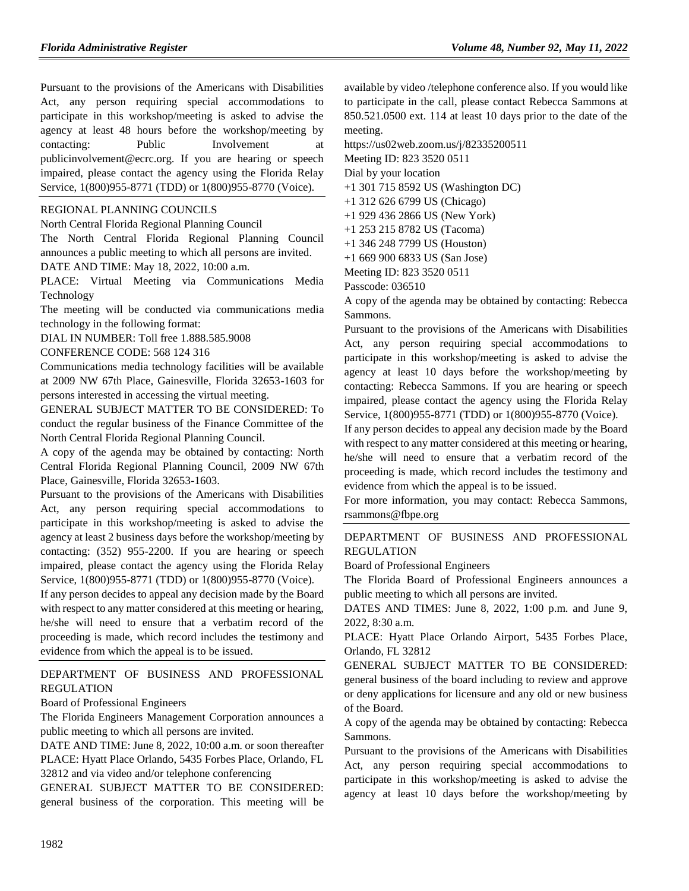Pursuant to the provisions of the Americans with Disabilities Act, any person requiring special accommodations to participate in this workshop/meeting is asked to advise the agency at least 48 hours before the workshop/meeting by contacting: Public Involvement at publicinvolvement@ecrc.org. If you are hearing or speech impaired, please contact the agency using the Florida Relay Service, 1(800)955-8771 (TDD) or 1(800)955-8770 (Voice).

#### [REGIONAL PLANNING COUNCILS](https://www.flrules.org/gateway/department.asp?id=29)

[North Central Florida Regional Planning Council](https://www.flrules.org/gateway/organization.asp?id=59)

The North Central Florida Regional Planning Council announces a public meeting to which all persons are invited.

DATE AND TIME: May 18, 2022, 10:00 a.m.

PLACE: Virtual Meeting via Communications Media Technology

The meeting will be conducted via communications media technology in the following format:

DIAL IN NUMBER: Toll free 1.888.585.9008

CONFERENCE CODE: 568 124 316

Communications media technology facilities will be available at 2009 NW 67th Place, Gainesville, Florida 32653-1603 for persons interested in accessing the virtual meeting.

GENERAL SUBJECT MATTER TO BE CONSIDERED: To conduct the regular business of the Finance Committee of the North Central Florida Regional Planning Council.

A copy of the agenda may be obtained by contacting: North Central Florida Regional Planning Council, 2009 NW 67th Place, Gainesville, Florida 32653-1603.

Pursuant to the provisions of the Americans with Disabilities Act, any person requiring special accommodations to participate in this workshop/meeting is asked to advise the agency at least 2 business days before the workshop/meeting by contacting: (352) 955-2200. If you are hearing or speech impaired, please contact the agency using the Florida Relay Service, 1(800)955-8771 (TDD) or 1(800)955-8770 (Voice).

If any person decides to appeal any decision made by the Board with respect to any matter considered at this meeting or hearing, he/she will need to ensure that a verbatim record of the proceeding is made, which record includes the testimony and evidence from which the appeal is to be issued.

[DEPARTMENT OF BUSINESS AND PROFESSIONAL](https://www.flrules.org/gateway/department.asp?id=61)  [REGULATION](https://www.flrules.org/gateway/department.asp?id=61)

[Board of Professional Engineers](https://www.flrules.org/gateway/organization.asp?id=267)

The Florida Engineers Management Corporation announces a public meeting to which all persons are invited.

DATE AND TIME: June 8, 2022, 10:00 a.m. or soon thereafter PLACE: Hyatt Place Orlando, 5435 Forbes Place, Orlando, FL 32812 and via video and/or telephone conferencing

GENERAL SUBJECT MATTER TO BE CONSIDERED: general business of the corporation. This meeting will be available by video /telephone conference also. If you would like to participate in the call, please contact Rebecca Sammons at 850.521.0500 ext. 114 at least 10 days prior to the date of the meeting.

https://us02web.zoom.us/j/82335200511

Meeting ID: 823 3520 0511

Dial by your location

+1 301 715 8592 US (Washington DC)

- +1 312 626 6799 US (Chicago)
- +1 929 436 2866 US (New York)
- +1 253 215 8782 US (Tacoma)
- +1 346 248 7799 US (Houston)
- +1 669 900 6833 US (San Jose)

Meeting ID: 823 3520 0511

Passcode: 036510

A copy of the agenda may be obtained by contacting: Rebecca Sammons.

Pursuant to the provisions of the Americans with Disabilities Act, any person requiring special accommodations to participate in this workshop/meeting is asked to advise the agency at least 10 days before the workshop/meeting by contacting: Rebecca Sammons. If you are hearing or speech impaired, please contact the agency using the Florida Relay Service, 1(800)955-8771 (TDD) or 1(800)955-8770 (Voice).

If any person decides to appeal any decision made by the Board with respect to any matter considered at this meeting or hearing, he/she will need to ensure that a verbatim record of the proceeding is made, which record includes the testimony and evidence from which the appeal is to be issued.

For more information, you may contact: Rebecca Sammons, rsammons@fbpe.org

### [DEPARTMENT OF BUSINESS AND PROFESSIONAL](https://www.flrules.org/gateway/department.asp?id=61)  [REGULATION](https://www.flrules.org/gateway/department.asp?id=61)

[Board of Professional Engineers](https://www.flrules.org/gateway/organization.asp?id=267)

The Florida Board of Professional Engineers announces a public meeting to which all persons are invited.

DATES AND TIMES: June 8, 2022, 1:00 p.m. and June 9, 2022, 8:30 a.m.

PLACE: Hyatt Place Orlando Airport, 5435 Forbes Place, Orlando, FL 32812

GENERAL SUBJECT MATTER TO BE CONSIDERED: general business of the board including to review and approve or deny applications for licensure and any old or new business of the Board.

A copy of the agenda may be obtained by contacting: Rebecca Sammons.

Pursuant to the provisions of the Americans with Disabilities Act, any person requiring special accommodations to participate in this workshop/meeting is asked to advise the agency at least 10 days before the workshop/meeting by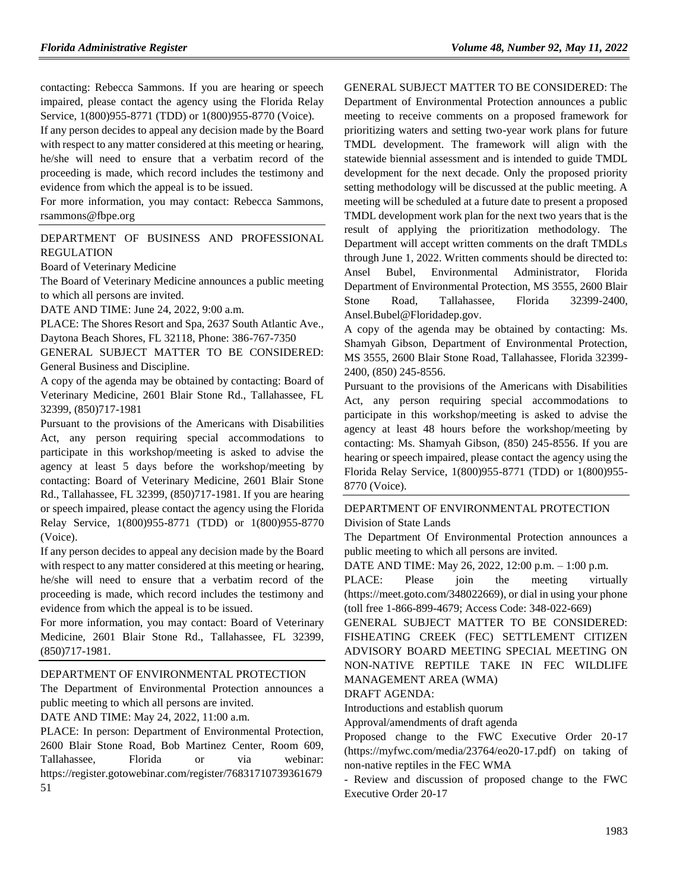contacting: Rebecca Sammons. If you are hearing or speech impaired, please contact the agency using the Florida Relay Service, 1(800)955-8771 (TDD) or 1(800)955-8770 (Voice).

If any person decides to appeal any decision made by the Board with respect to any matter considered at this meeting or hearing, he/she will need to ensure that a verbatim record of the proceeding is made, which record includes the testimony and evidence from which the appeal is to be issued.

For more information, you may contact: Rebecca Sammons, rsammons@fbpe.org

[DEPARTMENT OF BUSINESS AND PROFESSIONAL](https://www.flrules.org/gateway/department.asp?id=61)  [REGULATION](https://www.flrules.org/gateway/department.asp?id=61)

[Board of Veterinary Medicine](https://www.flrules.org/gateway/organization.asp?id=270)

The Board of Veterinary Medicine announces a public meeting to which all persons are invited.

DATE AND TIME: June 24, 2022, 9:00 a.m.

PLACE: The Shores Resort and Spa, 2637 South Atlantic Ave.,

Daytona Beach Shores, FL 32118, Phone: 386-767-7350

GENERAL SUBJECT MATTER TO BE CONSIDERED: General Business and Discipline.

A copy of the agenda may be obtained by contacting: Board of Veterinary Medicine, 2601 Blair Stone Rd., Tallahassee, FL 32399, (850)717-1981

Pursuant to the provisions of the Americans with Disabilities Act, any person requiring special accommodations to participate in this workshop/meeting is asked to advise the agency at least 5 days before the workshop/meeting by contacting: Board of Veterinary Medicine, 2601 Blair Stone Rd., Tallahassee, FL 32399, (850)717-1981. If you are hearing or speech impaired, please contact the agency using the Florida Relay Service, 1(800)955-8771 (TDD) or 1(800)955-8770 (Voice).

If any person decides to appeal any decision made by the Board with respect to any matter considered at this meeting or hearing, he/she will need to ensure that a verbatim record of the proceeding is made, which record includes the testimony and evidence from which the appeal is to be issued.

For more information, you may contact: Board of Veterinary Medicine, 2601 Blair Stone Rd., Tallahassee, FL 32399, (850)717-1981.

#### [DEPARTMENT OF ENVIRONMENTAL PROTECTION](https://www.flrules.org/gateway/department.asp?id=62)

The Department of Environmental Protection announces a public meeting to which all persons are invited.

DATE AND TIME: May 24, 2022, 11:00 a.m.

PLACE: In person: Department of Environmental Protection, 2600 Blair Stone Road, Bob Martinez Center, Room 609, Tallahassee, Florida or via webinar: https://register.gotowebinar.com/register/76831710739361679 51

GENERAL SUBJECT MATTER TO BE CONSIDERED: The Department of Environmental Protection announces a public meeting to receive comments on a proposed framework for prioritizing waters and setting two-year work plans for future TMDL development. The framework will align with the statewide biennial assessment and is intended to guide TMDL development for the next decade. Only the proposed priority setting methodology will be discussed at the public meeting. A meeting will be scheduled at a future date to present a proposed TMDL development work plan for the next two years that is the result of applying the prioritization methodology. The Department will accept written comments on the draft TMDLs through June 1, 2022. Written comments should be directed to: Ansel Bubel, Environmental Administrator, Florida Department of Environmental Protection, MS 3555, 2600 Blair Stone Road, Tallahassee, Florida 32399-2400, Ansel.Bubel@Floridadep.gov.

A copy of the agenda may be obtained by contacting: Ms. Shamyah Gibson, Department of Environmental Protection, MS 3555, 2600 Blair Stone Road, Tallahassee, Florida 32399- 2400, (850) 245-8556.

Pursuant to the provisions of the Americans with Disabilities Act, any person requiring special accommodations to participate in this workshop/meeting is asked to advise the agency at least 48 hours before the workshop/meeting by contacting: Ms. Shamyah Gibson, (850) 245-8556. If you are hearing or speech impaired, please contact the agency using the Florida Relay Service, 1(800)955-8771 (TDD) or 1(800)955- 8770 (Voice).

#### [DEPARTMENT OF ENVIRONMENTAL PROTECTION](https://www.flrules.org/gateway/department.asp?id=62) [Division of State Lands](https://www.flrules.org/gateway/organization.asp?id=292)

The Department Of Environmental Protection announces a public meeting to which all persons are invited.

DATE AND TIME: May 26, 2022, 12:00 p.m. – 1:00 p.m.

PLACE: Please join the meeting virtually (https://meet.goto.com/348022669), or dial in using your phone (toll free 1-866-899-4679; Access Code: 348-022-669)

GENERAL SUBJECT MATTER TO BE CONSIDERED: FISHEATING CREEK (FEC) SETTLEMENT CITIZEN ADVISORY BOARD MEETING SPECIAL MEETING ON NON-NATIVE REPTILE TAKE IN FEC WILDLIFE MANAGEMENT AREA (WMA)

DRAFT AGENDA:

Introductions and establish quorum

Approval/amendments of draft agenda

Proposed change to the FWC Executive Order 20-17 (https://myfwc.com/media/23764/eo20-17.pdf) on taking of non-native reptiles in the FEC WMA

- Review and discussion of proposed change to the FWC Executive Order 20-17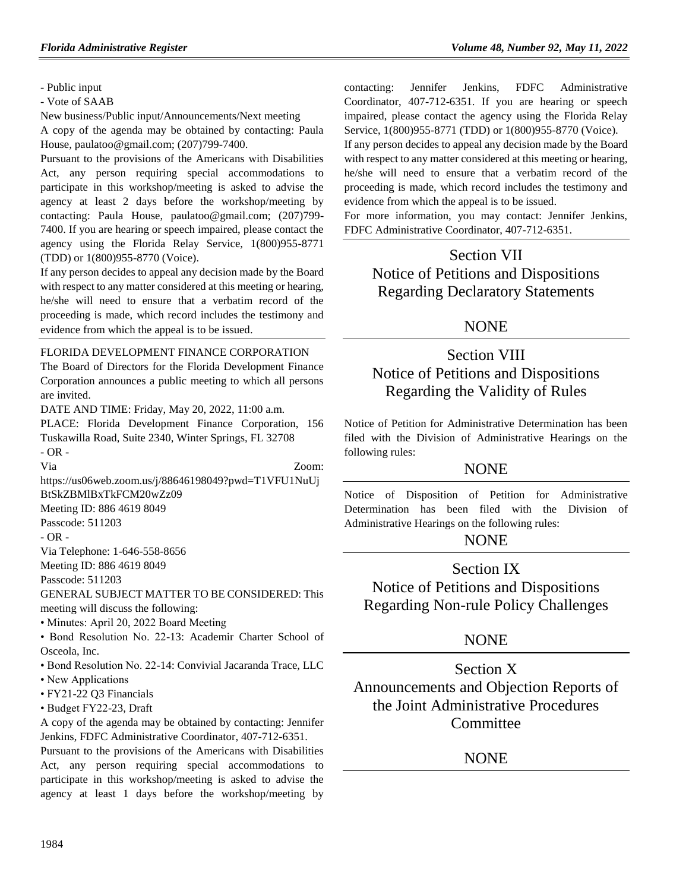- Public input

- Vote of SAAB

New business/Public input/Announcements/Next meeting

A copy of the agenda may be obtained by contacting: Paula House, paulatoo@gmail.com; (207)799-7400.

Pursuant to the provisions of the Americans with Disabilities Act, any person requiring special accommodations to participate in this workshop/meeting is asked to advise the agency at least 2 days before the workshop/meeting by contacting: Paula House, paulatoo@gmail.com; (207)799- 7400. If you are hearing or speech impaired, please contact the agency using the Florida Relay Service, 1(800)955-8771 (TDD) or 1(800)955-8770 (Voice).

If any person decides to appeal any decision made by the Board with respect to any matter considered at this meeting or hearing, he/she will need to ensure that a verbatim record of the proceeding is made, which record includes the testimony and evidence from which the appeal is to be issued.

## [FLORIDA DEVELOPMENT FINANCE CORPORATION](https://www.flrules.org/gateway/organization.asp?id=941)

The Board of Directors for the Florida Development Finance Corporation announces a public meeting to which all persons are invited.

DATE AND TIME: Friday, May 20, 2022, 11:00 a.m.

PLACE: Florida Development Finance Corporation, 156 Tuskawilla Road, Suite 2340, Winter Springs, FL 32708 - OR -

Via Zoom:

https://us06web.zoom.us/j/88646198049?pwd=T1VFU1NuUj BtSkZBMlBxTkFCM20wZz09

Meeting ID: 886 4619 8049

Passcode: 511203

- OR -

Via Telephone: 1-646-558-8656

Meeting ID: 886 4619 8049

Passcode: 511203

GENERAL SUBJECT MATTER TO BE CONSIDERED: This

meeting will discuss the following:

• Minutes: April 20, 2022 Board Meeting

• Bond Resolution No. 22-13: Academir Charter School of Osceola, Inc.

• Bond Resolution No. 22-14: Convivial Jacaranda Trace, LLC

- New Applications
- FY21-22 Q3 Financials
- Budget FY22-23, Draft

A copy of the agenda may be obtained by contacting: Jennifer Jenkins, FDFC Administrative Coordinator, 407-712-6351.

Pursuant to the provisions of the Americans with Disabilities Act, any person requiring special accommodations to participate in this workshop/meeting is asked to advise the agency at least 1 days before the workshop/meeting by contacting: Jennifer Jenkins, FDFC Administrative Coordinator, 407-712-6351. If you are hearing or speech impaired, please contact the agency using the Florida Relay Service, 1(800)955-8771 (TDD) or 1(800)955-8770 (Voice).

If any person decides to appeal any decision made by the Board with respect to any matter considered at this meeting or hearing, he/she will need to ensure that a verbatim record of the proceeding is made, which record includes the testimony and evidence from which the appeal is to be issued.

For more information, you may contact: Jennifer Jenkins, FDFC Administrative Coordinator, 407-712-6351.

# Section VII Notice of Petitions and Dispositions Regarding Declaratory Statements

## NONE

# Section VIII Notice of Petitions and Dispositions Regarding the Validity of Rules

Notice of Petition for Administrative Determination has been filed with the Division of Administrative Hearings on the following rules:

## NONE

Notice of Disposition of Petition for Administrative Determination has been filed with the Division of Administrative Hearings on the following rules:

## **NONE**

Section IX Notice of Petitions and Dispositions Regarding Non-rule Policy Challenges

## **NONE**

Section X Announcements and Objection Reports of the Joint Administrative Procedures **Committee** 

## NONE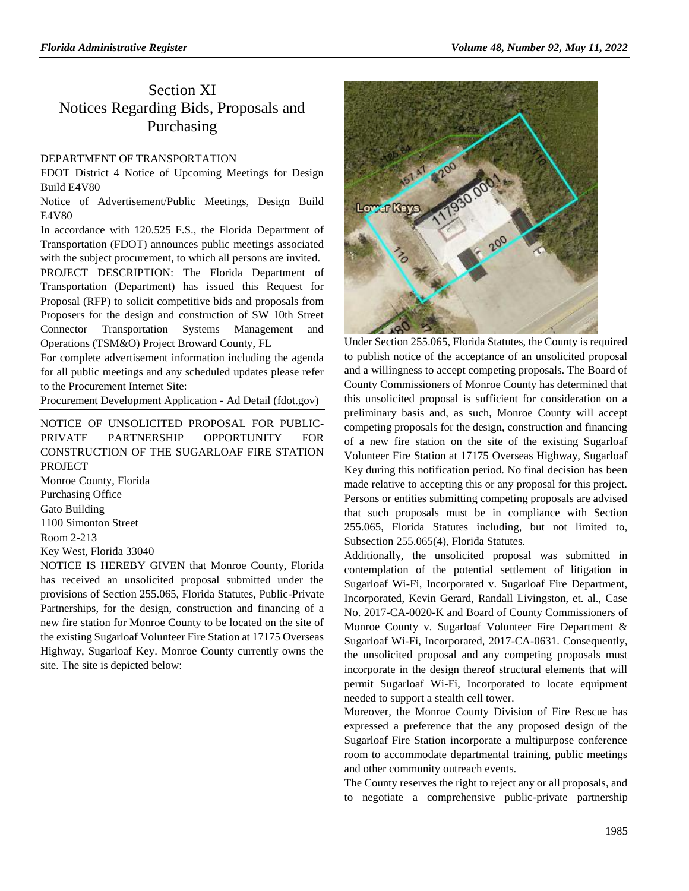## Section XI Notices Regarding Bids, Proposals and Purchasing

#### [DEPARTMENT OF TRANSPORTATION](https://www.flrules.org/gateway/department.asp?id=14)

FDOT District 4 Notice of Upcoming Meetings for Design Build E4V80

Notice of Advertisement/Public Meetings, Design Build E4V80

In accordance with 120.525 F.S., the Florida Department of Transportation (FDOT) announces public meetings associated with the subject procurement, to which all persons are invited. PROJECT DESCRIPTION: The Florida Department of Transportation (Department) has issued this Request for Proposal (RFP) to solicit competitive bids and proposals from Proposers for the design and construction of SW 10th Street Connector Transportation Systems Management and Operations (TSM&O) Project Broward County, FL

For complete advertisement information including the agenda for all public meetings and any scheduled updates please refer to the Procurement Internet Site:

[Procurement Development Application -](https://pdaexternal.fdot.gov/Pub/AdvertisementPublic/AdDetail/04/12278/D-B/C/C) Ad Detail (fdot.gov)

NOTICE OF UNSOLICITED PROPOSAL FOR PUBLIC-PRIVATE PARTNERSHIP OPPORTUNITY FOR CONSTRUCTION OF THE SUGARLOAF FIRE STATION PROJECT Monroe County, Florida Purchasing Office

Gato Building 1100 Simonton Street Room 2-213

Key West, Florida 33040

NOTICE IS HEREBY GIVEN that Monroe County, Florida has received an unsolicited proposal submitted under the provisions of Section 255.065, Florida Statutes, Public-Private Partnerships, for the design, construction and financing of a new fire station for Monroe County to be located on the site of the existing Sugarloaf Volunteer Fire Station at 17175 Overseas Highway, Sugarloaf Key. Monroe County currently owns the site. The site is depicted below:



Under Section 255.065, Florida Statutes, the County is required to publish notice of the acceptance of an unsolicited proposal and a willingness to accept competing proposals. The Board of County Commissioners of Monroe County has determined that this unsolicited proposal is sufficient for consideration on a preliminary basis and, as such, Monroe County will accept competing proposals for the design, construction and financing of a new fire station on the site of the existing Sugarloaf Volunteer Fire Station at 17175 Overseas Highway, Sugarloaf Key during this notification period. No final decision has been made relative to accepting this or any proposal for this project. Persons or entities submitting competing proposals are advised that such proposals must be in compliance with Section 255.065, Florida Statutes including, but not limited to, Subsection 255.065(4), Florida Statutes.

Additionally, the unsolicited proposal was submitted in contemplation of the potential settlement of litigation in Sugarloaf Wi-Fi, Incorporated v. Sugarloaf Fire Department, Incorporated, Kevin Gerard, Randall Livingston, et. al., Case No. 2017-CA-0020-K and Board of County Commissioners of Monroe County v. Sugarloaf Volunteer Fire Department & Sugarloaf Wi-Fi, Incorporated, 2017-CA-0631. Consequently, the unsolicited proposal and any competing proposals must incorporate in the design thereof structural elements that will permit Sugarloaf Wi-Fi, Incorporated to locate equipment needed to support a stealth cell tower.

Moreover, the Monroe County Division of Fire Rescue has expressed a preference that the any proposed design of the Sugarloaf Fire Station incorporate a multipurpose conference room to accommodate departmental training, public meetings and other community outreach events.

The County reserves the right to reject any or all proposals, and to negotiate a comprehensive public-private partnership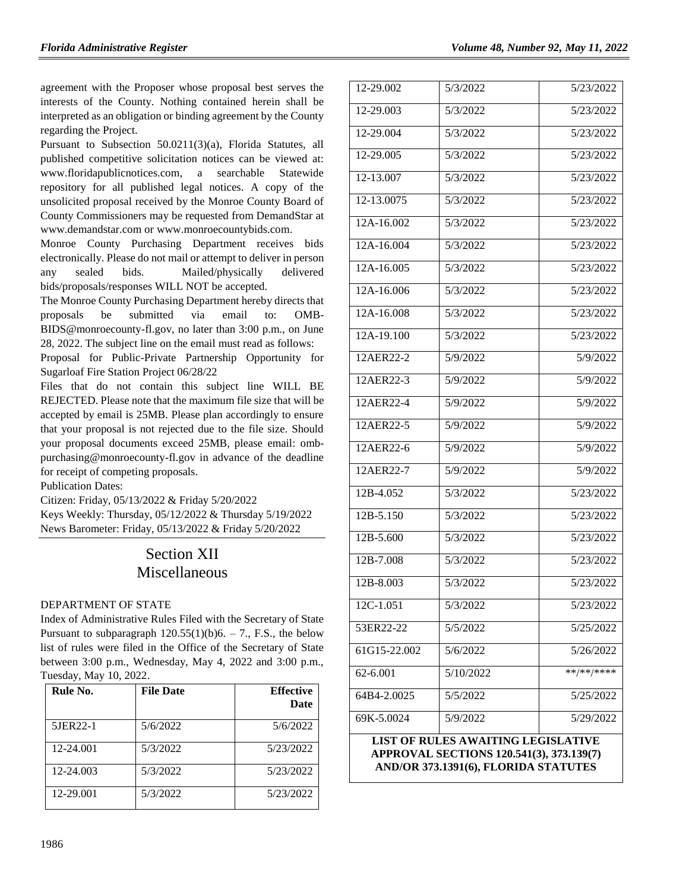agreement with the Proposer whose proposal best serves the interests of the County. Nothing contained herein shall be interpreted as an obligation or binding agreement by the County regarding the Project.

Pursuant to Subsection 50.0211(3)(a), Florida Statutes, all published competitive solicitation notices can be viewed at: [www.floridapublicnotices.com,](http://www.floridapublicnotices.com/) a searchable Statewide repository for all published legal notices. A copy of the unsolicited proposal received by the Monroe County Board of County Commissioners may be requested from DemandStar at [www.demandstar.com](http://www.demandstar.com/) or [www.monroecountybids.com.](http://www.monroecountybids.com/)

Monroe County Purchasing Department receives bids electronically. Please do not mail or attempt to deliver in person any sealed bids. Mailed/physically delivered bids/proposals/responses WILL NOT be accepted.

The Monroe County Purchasing Department hereby directs that proposals be submitted via email to: [OMB-](mailto:OMB-BIDS@monroecounty-fl.gov)[BIDS@monroecounty-fl.gov,](mailto:OMB-BIDS@monroecounty-fl.gov) no later than 3:00 p.m., on June 28, 2022. The subject line on the email must read as follows:

Proposal for Public-Private Partnership Opportunity for Sugarloaf Fire Station Project 06/28/22

Files that do not contain this subject line WILL BE REJECTED. Please note that the maximum file size that will be accepted by email is 25MB. Please plan accordingly to ensure that your proposal is not rejected due to the file size. Should your proposal documents exceed 25MB, please email: [omb](mailto:omb-purchasing@monroecounty-fl.gov)[purchasing@monroecounty-fl.gov](mailto:omb-purchasing@monroecounty-fl.gov) in advance of the deadline for receipt of competing proposals.

Publication Dates:

Citizen: Friday, 05/13/2022 & Friday 5/20/2022 Keys Weekly: Thursday, 05/12/2022 & Thursday 5/19/2022 News Barometer: Friday, 05/13/2022 & Friday 5/20/2022

# Section XII Miscellaneous

### [DEPARTMENT OF STATE](https://www.flrules.org/gateway/department.asp?id=1)

Index of Administrative Rules Filed with the Secretary of State Pursuant to subparagraph  $120.55(1)(b)6. - 7$ ., F.S., the below list of rules were filed in the Office of the Secretary of State between 3:00 p.m., Wednesday, May 4, 2022 and 3:00 p.m., Tuesday, May 10, 2022.

| Rule No.  | <b>File Date</b> | <b>Effective</b><br>Date |
|-----------|------------------|--------------------------|
| 5JER22-1  | 5/6/2022         | 5/6/2022                 |
| 12-24.001 | 5/3/2022         | 5/23/2022                |
| 12-24.003 | 5/3/2022         | 5/23/2022                |
| 12-29.001 | 5/3/2022         | 5/23/2022                |

| 12-29.002                                                                                                                     | 5/3/2022  | 5/23/2022  |  |  |
|-------------------------------------------------------------------------------------------------------------------------------|-----------|------------|--|--|
| 12-29.003                                                                                                                     | 5/3/2022  | 5/23/2022  |  |  |
| 12-29.004                                                                                                                     | 5/3/2022  | 5/23/2022  |  |  |
| 12-29.005                                                                                                                     | 5/3/2022  | 5/23/2022  |  |  |
| 12-13.007                                                                                                                     | 5/3/2022  | 5/23/2022  |  |  |
| 12-13.0075                                                                                                                    | 5/3/2022  | 5/23/2022  |  |  |
| 12A-16.002                                                                                                                    | 5/3/2022  | 5/23/2022  |  |  |
| 12A-16.004                                                                                                                    | 5/3/2022  | 5/23/2022  |  |  |
| 12A-16.005                                                                                                                    | 5/3/2022  | 5/23/2022  |  |  |
| 12A-16.006                                                                                                                    | 5/3/2022  | 5/23/2022  |  |  |
| 12A-16.008                                                                                                                    | 5/3/2022  | 5/23/2022  |  |  |
| 12A-19.100                                                                                                                    | 5/3/2022  | 5/23/2022  |  |  |
| 12AER22-2                                                                                                                     | 5/9/2022  | 5/9/2022   |  |  |
| 12AER22-3                                                                                                                     | 5/9/2022  | 5/9/2022   |  |  |
| 12AER22-4                                                                                                                     | 5/9/2022  | 5/9/2022   |  |  |
| 12AER22-5                                                                                                                     | 5/9/2022  | 5/9/2022   |  |  |
| 12AER22-6                                                                                                                     | 5/9/2022  | 5/9/2022   |  |  |
| 12AER22-7                                                                                                                     | 5/9/2022  | 5/9/2022   |  |  |
| 12B-4.052                                                                                                                     | 5/3/2022  | 5/23/2022  |  |  |
| 12B-5.150                                                                                                                     | 5/3/2022  | 5/23/2022  |  |  |
| 12B-5.600                                                                                                                     | 5/3/2022  | 5/23/2022  |  |  |
| 12B-7.008                                                                                                                     | 5/3/2022  | 5/23/2022  |  |  |
| 12B-8.003                                                                                                                     | 5/3/2022  | 5/23/2022  |  |  |
| 12C-1.051                                                                                                                     | 5/3/2022  | 5/23/2022  |  |  |
| 53ER22-22                                                                                                                     | 5/5/2022  | 5/25/2022  |  |  |
| 61G15-22.002                                                                                                                  | 5/6/2022  | 5/26/2022  |  |  |
| 62-6.001                                                                                                                      | 5/10/2022 | **/**/**** |  |  |
| 64B4-2.0025                                                                                                                   | 5/5/2022  | 5/25/2022  |  |  |
| 69K-5.0024                                                                                                                    | 5/9/2022  | 5/29/2022  |  |  |
| <b>LIST OF RULES AWAITING LEGISLATIVE</b><br>APPROVAL SECTIONS 120.541(3), 373.139(7)<br>AND/OR 373.1391(6), FLORIDA STATUTES |           |            |  |  |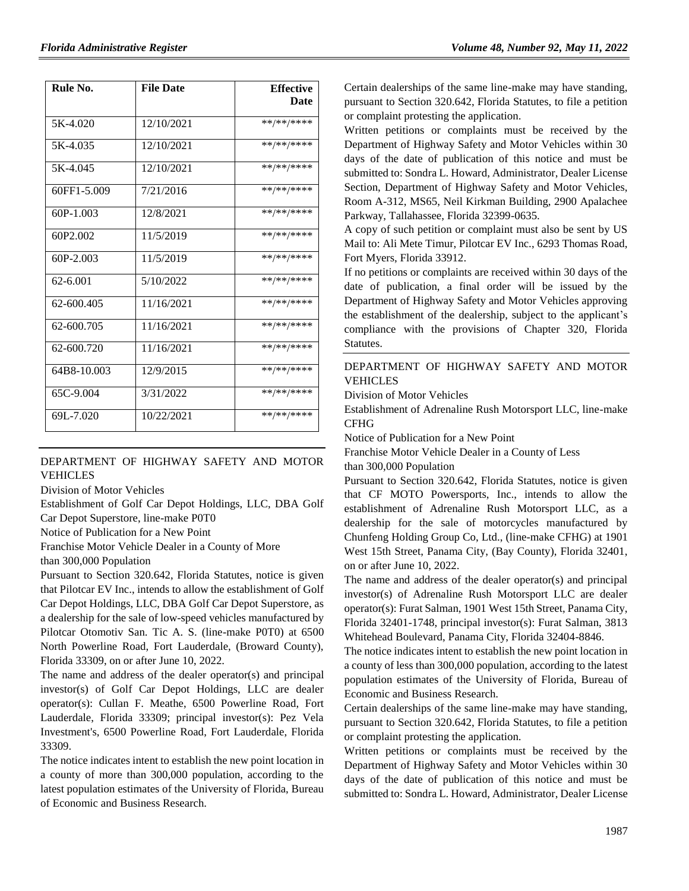| Rule No.    | <b>File Date</b> | <b>Effective</b> |
|-------------|------------------|------------------|
|             |                  | Date             |
| 5K-4.020    | 12/10/2021       | **/**/****       |
| 5K-4.035    | 12/10/2021       | **/**/****       |
| 5K-4.045    | 12/10/2021       | **/**/****       |
| 60FF1-5.009 | 7/21/2016        | **/**/****       |
| $60P-1.003$ | 12/8/2021        | **/**/****       |
| 60P2.002    | 11/5/2019        | **/**/****       |
| 60P-2.003   | 11/5/2019        | **/**/****       |
| 62-6.001    | 5/10/2022        | **/**/****       |
| 62-600.405  | 11/16/2021       | **/**/****       |
| 62-600.705  | 11/16/2021       | **/**/****       |
| 62-600.720  | 11/16/2021       | **/**/****       |
| 64B8-10.003 | 12/9/2015        | **/**/****       |
| 65C-9.004   | 3/31/2022        | **/**/****       |
| 69L-7.020   | 10/22/2021       | **/**/****       |

### [DEPARTMENT OF HIGHWAY SAFETY AND MOTOR](https://www.flrules.org/gateway/department.asp?id=15)  [VEHICLES](https://www.flrules.org/gateway/department.asp?id=15)

[Division of Motor Vehicles](https://www.flrules.org/gateway/organization.asp?id=42)

Establishment of Golf Car Depot Holdings, LLC, DBA Golf Car Depot Superstore, line-make P0T0

Notice of Publication for a New Point

Franchise Motor Vehicle Dealer in a County of More

than 300,000 Population

Pursuant to Section 320.642, Florida Statutes, notice is given that Pilotcar EV Inc., intends to allow the establishment of Golf Car Depot Holdings, LLC, DBA Golf Car Depot Superstore, as a dealership for the sale of low-speed vehicles manufactured by Pilotcar Otomotiv San. Tic A. S. (line-make P0T0) at 6500 North Powerline Road, Fort Lauderdale, (Broward County), Florida 33309, on or after June 10, 2022.

The name and address of the dealer operator(s) and principal investor(s) of Golf Car Depot Holdings, LLC are dealer operator(s): Cullan F. Meathe, 6500 Powerline Road, Fort Lauderdale, Florida 33309; principal investor(s): Pez Vela Investment's, 6500 Powerline Road, Fort Lauderdale, Florida 33309.

The notice indicates intent to establish the new point location in a county of more than 300,000 population, according to the latest population estimates of the University of Florida, Bureau of Economic and Business Research.

Certain dealerships of the same line-make may have standing, pursuant to Section 320.642, Florida Statutes, to file a petition or complaint protesting the application.

Written petitions or complaints must be received by the Department of Highway Safety and Motor Vehicles within 30 days of the date of publication of this notice and must be submitted to: Sondra L. Howard, Administrator, Dealer License Section, Department of Highway Safety and Motor Vehicles, Room A-312, MS65, Neil Kirkman Building, 2900 Apalachee Parkway, Tallahassee, Florida 32399-0635.

A copy of such petition or complaint must also be sent by US Mail to: Ali Mete Timur, Pilotcar EV Inc., 6293 Thomas Road, Fort Myers, Florida 33912.

If no petitions or complaints are received within 30 days of the date of publication, a final order will be issued by the Department of Highway Safety and Motor Vehicles approving the establishment of the dealership, subject to the applicant's compliance with the provisions of Chapter 320, Florida Statutes.

## [DEPARTMENT OF HIGHWAY SAFETY AND MOTOR](https://www.flrules.org/gateway/department.asp?id=15)  [VEHICLES](https://www.flrules.org/gateway/department.asp?id=15)

[Division of Motor Vehicles](https://www.flrules.org/gateway/organization.asp?id=42)

Establishment of Adrenaline Rush Motorsport LLC, line-make **CFHG** 

Notice of Publication for a New Point

Franchise Motor Vehicle Dealer in a County of Less

than 300,000 Population

Pursuant to Section 320.642, Florida Statutes, notice is given that CF MOTO Powersports, Inc., intends to allow the establishment of Adrenaline Rush Motorsport LLC, as a dealership for the sale of motorcycles manufactured by Chunfeng Holding Group Co, Ltd., (line-make CFHG) at 1901 West 15th Street, Panama City, (Bay County), Florida 32401, on or after June 10, 2022.

The name and address of the dealer operator(s) and principal investor(s) of Adrenaline Rush Motorsport LLC are dealer operator(s): Furat Salman, 1901 West 15th Street, Panama City, Florida 32401-1748, principal investor(s): Furat Salman, 3813 Whitehead Boulevard, Panama City, Florida 32404-8846.

The notice indicates intent to establish the new point location in a county of less than 300,000 population, according to the latest population estimates of the University of Florida, Bureau of Economic and Business Research.

Certain dealerships of the same line-make may have standing, pursuant to Section 320.642, Florida Statutes, to file a petition or complaint protesting the application.

Written petitions or complaints must be received by the Department of Highway Safety and Motor Vehicles within 30 days of the date of publication of this notice and must be submitted to: Sondra L. Howard, Administrator, Dealer License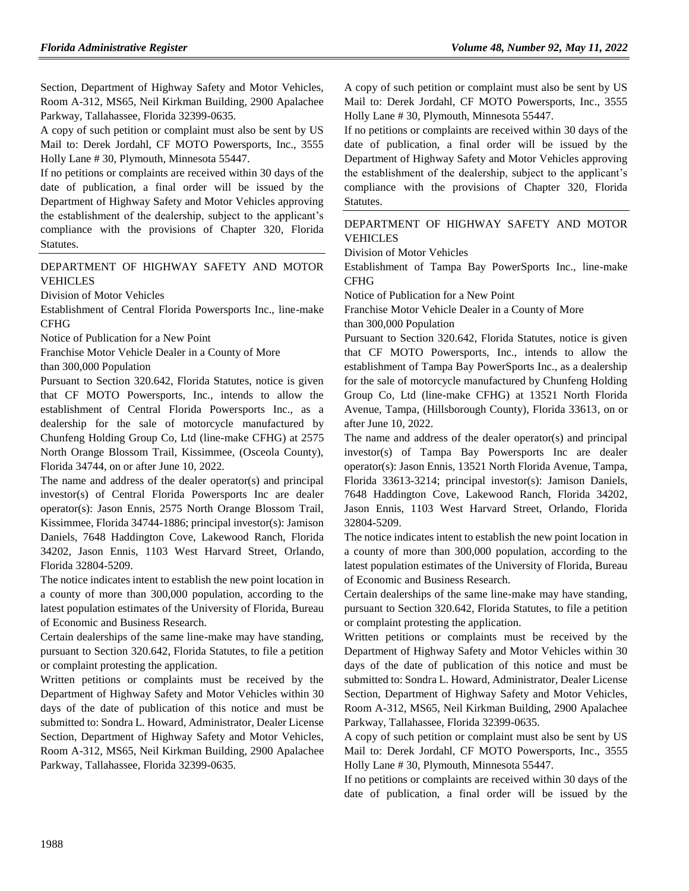Section, Department of Highway Safety and Motor Vehicles, Room A-312, MS65, Neil Kirkman Building, 2900 Apalachee Parkway, Tallahassee, Florida 32399-0635.

A copy of such petition or complaint must also be sent by US Mail to: Derek Jordahl, CF MOTO Powersports, Inc., 3555 Holly Lane # 30, Plymouth, Minnesota 55447.

If no petitions or complaints are received within 30 days of the date of publication, a final order will be issued by the Department of Highway Safety and Motor Vehicles approving the establishment of the dealership, subject to the applicant's compliance with the provisions of Chapter 320, Florida Statutes.

### [DEPARTMENT OF HIGHWAY SAFETY AND MOTOR](https://www.flrules.org/gateway/department.asp?id=15)  [VEHICLES](https://www.flrules.org/gateway/department.asp?id=15)

[Division of Motor Vehicles](https://www.flrules.org/gateway/organization.asp?id=42)

Establishment of Central Florida Powersports Inc., line-make CFHG

Notice of Publication for a New Point

Franchise Motor Vehicle Dealer in a County of More

than 300,000 Population

Pursuant to Section 320.642, Florida Statutes, notice is given that CF MOTO Powersports, Inc., intends to allow the establishment of Central Florida Powersports Inc., as a dealership for the sale of motorcycle manufactured by Chunfeng Holding Group Co, Ltd (line-make CFHG) at 2575 North Orange Blossom Trail, Kissimmee, (Osceola County), Florida 34744, on or after June 10, 2022.

The name and address of the dealer operator(s) and principal investor(s) of Central Florida Powersports Inc are dealer operator(s): Jason Ennis, 2575 North Orange Blossom Trail, Kissimmee, Florida 34744-1886; principal investor(s): Jamison Daniels, 7648 Haddington Cove, Lakewood Ranch, Florida 34202, Jason Ennis, 1103 West Harvard Street, Orlando, Florida 32804-5209.

The notice indicates intent to establish the new point location in a county of more than 300,000 population, according to the latest population estimates of the University of Florida, Bureau of Economic and Business Research.

Certain dealerships of the same line-make may have standing, pursuant to Section 320.642, Florida Statutes, to file a petition or complaint protesting the application.

Written petitions or complaints must be received by the Department of Highway Safety and Motor Vehicles within 30 days of the date of publication of this notice and must be submitted to: Sondra L. Howard, Administrator, Dealer License Section, Department of Highway Safety and Motor Vehicles, Room A-312, MS65, Neil Kirkman Building, 2900 Apalachee Parkway, Tallahassee, Florida 32399-0635.

A copy of such petition or complaint must also be sent by US Mail to: Derek Jordahl, CF MOTO Powersports, Inc., 3555 Holly Lane # 30, Plymouth, Minnesota 55447.

If no petitions or complaints are received within 30 days of the date of publication, a final order will be issued by the Department of Highway Safety and Motor Vehicles approving the establishment of the dealership, subject to the applicant's compliance with the provisions of Chapter 320, Florida Statutes.

### [DEPARTMENT OF HIGHWAY SAFETY AND MOTOR](https://www.flrules.org/gateway/department.asp?id=15)  [VEHICLES](https://www.flrules.org/gateway/department.asp?id=15)

[Division of Motor Vehicles](https://www.flrules.org/gateway/organization.asp?id=42)

Establishment of Tampa Bay PowerSports Inc., line-make CFHG

Notice of Publication for a New Point

Franchise Motor Vehicle Dealer in a County of More than 300,000 Population

Pursuant to Section 320.642, Florida Statutes, notice is given that CF MOTO Powersports, Inc., intends to allow the establishment of Tampa Bay PowerSports Inc., as a dealership for the sale of motorcycle manufactured by Chunfeng Holding Group Co, Ltd (line-make CFHG) at 13521 North Florida Avenue, Tampa, (Hillsborough County), Florida 33613, on or after June 10, 2022.

The name and address of the dealer operator(s) and principal investor(s) of Tampa Bay Powersports Inc are dealer operator(s): Jason Ennis, 13521 North Florida Avenue, Tampa, Florida 33613-3214; principal investor(s): Jamison Daniels, 7648 Haddington Cove, Lakewood Ranch, Florida 34202, Jason Ennis, 1103 West Harvard Street, Orlando, Florida 32804-5209.

The notice indicates intent to establish the new point location in a county of more than 300,000 population, according to the latest population estimates of the University of Florida, Bureau of Economic and Business Research.

Certain dealerships of the same line-make may have standing, pursuant to Section 320.642, Florida Statutes, to file a petition or complaint protesting the application.

Written petitions or complaints must be received by the Department of Highway Safety and Motor Vehicles within 30 days of the date of publication of this notice and must be submitted to: Sondra L. Howard, Administrator, Dealer License Section, Department of Highway Safety and Motor Vehicles, Room A-312, MS65, Neil Kirkman Building, 2900 Apalachee Parkway, Tallahassee, Florida 32399-0635.

A copy of such petition or complaint must also be sent by US Mail to: Derek Jordahl, CF MOTO Powersports, Inc., 3555 Holly Lane # 30, Plymouth, Minnesota 55447.

If no petitions or complaints are received within 30 days of the date of publication, a final order will be issued by the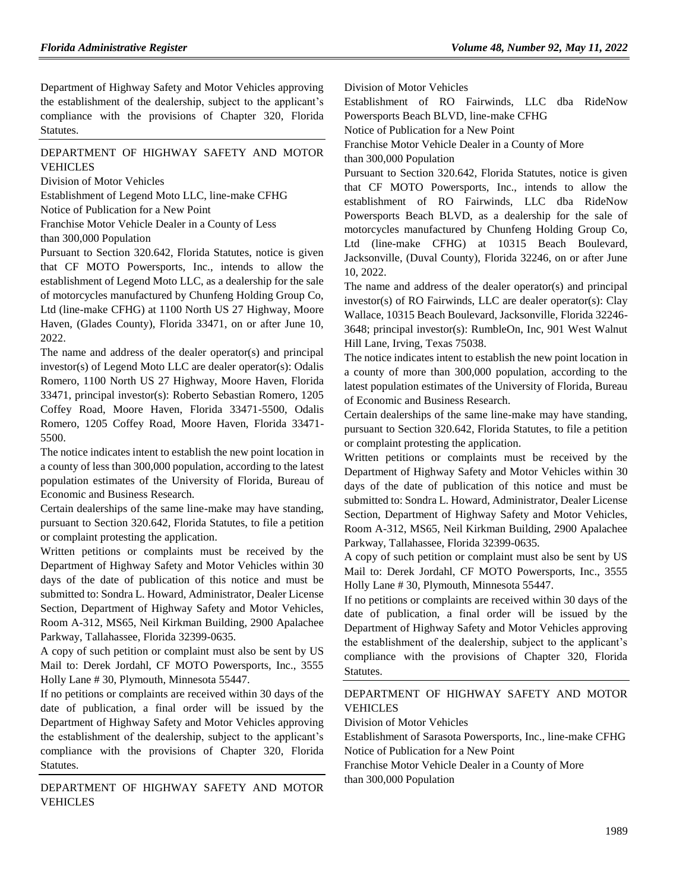Department of Highway Safety and Motor Vehicles approving the establishment of the dealership, subject to the applicant's compliance with the provisions of Chapter 320, Florida Statutes.

### [DEPARTMENT OF HIGHWAY SAFETY AND MOTOR](https://www.flrules.org/gateway/department.asp?id=15)  [VEHICLES](https://www.flrules.org/gateway/department.asp?id=15)

[Division of Motor Vehicles](https://www.flrules.org/gateway/organization.asp?id=42)

Establishment of Legend Moto LLC, line-make CFHG Notice of Publication for a New Point

Franchise Motor Vehicle Dealer in a County of Less

than 300,000 Population

Pursuant to Section 320.642, Florida Statutes, notice is given that CF MOTO Powersports, Inc., intends to allow the establishment of Legend Moto LLC, as a dealership for the sale of motorcycles manufactured by Chunfeng Holding Group Co, Ltd (line-make CFHG) at 1100 North US 27 Highway, Moore Haven, (Glades County), Florida 33471, on or after June 10, 2022.

The name and address of the dealer operator(s) and principal investor(s) of Legend Moto LLC are dealer operator(s): Odalis Romero, 1100 North US 27 Highway, Moore Haven, Florida 33471, principal investor(s): Roberto Sebastian Romero, 1205 Coffey Road, Moore Haven, Florida 33471-5500, Odalis Romero, 1205 Coffey Road, Moore Haven, Florida 33471- 5500.

The notice indicates intent to establish the new point location in a county of less than 300,000 population, according to the latest population estimates of the University of Florida, Bureau of Economic and Business Research.

Certain dealerships of the same line-make may have standing, pursuant to Section 320.642, Florida Statutes, to file a petition or complaint protesting the application.

Written petitions or complaints must be received by the Department of Highway Safety and Motor Vehicles within 30 days of the date of publication of this notice and must be submitted to: Sondra L. Howard, Administrator, Dealer License Section, Department of Highway Safety and Motor Vehicles, Room A-312, MS65, Neil Kirkman Building, 2900 Apalachee Parkway, Tallahassee, Florida 32399-0635.

A copy of such petition or complaint must also be sent by US Mail to: Derek Jordahl, CF MOTO Powersports, Inc., 3555 Holly Lane # 30, Plymouth, Minnesota 55447.

If no petitions or complaints are received within 30 days of the date of publication, a final order will be issued by the Department of Highway Safety and Motor Vehicles approving the establishment of the dealership, subject to the applicant's compliance with the provisions of Chapter 320, Florida Statutes.

[DEPARTMENT OF HIGHWAY SAFETY AND MOTOR](https://www.flrules.org/gateway/department.asp?id=15)  [VEHICLES](https://www.flrules.org/gateway/department.asp?id=15)

[Division of Motor Vehicles](https://www.flrules.org/gateway/organization.asp?id=42)

Establishment of RO Fairwinds, LLC dba RideNow Powersports Beach BLVD, line-make CFHG

Notice of Publication for a New Point

Franchise Motor Vehicle Dealer in a County of More

than 300,000 Population

Pursuant to Section 320.642, Florida Statutes, notice is given that CF MOTO Powersports, Inc., intends to allow the establishment of RO Fairwinds, LLC dba RideNow Powersports Beach BLVD, as a dealership for the sale of motorcycles manufactured by Chunfeng Holding Group Co, Ltd (line-make CFHG) at 10315 Beach Boulevard, Jacksonville, (Duval County), Florida 32246, on or after June 10, 2022.

The name and address of the dealer operator(s) and principal investor(s) of RO Fairwinds, LLC are dealer operator(s): Clay Wallace, 10315 Beach Boulevard, Jacksonville, Florida 32246- 3648; principal investor(s): RumbleOn, Inc, 901 West Walnut Hill Lane, Irving, Texas 75038.

The notice indicates intent to establish the new point location in a county of more than 300,000 population, according to the latest population estimates of the University of Florida, Bureau of Economic and Business Research.

Certain dealerships of the same line-make may have standing, pursuant to Section 320.642, Florida Statutes, to file a petition or complaint protesting the application.

Written petitions or complaints must be received by the Department of Highway Safety and Motor Vehicles within 30 days of the date of publication of this notice and must be submitted to: Sondra L. Howard, Administrator, Dealer License Section, Department of Highway Safety and Motor Vehicles, Room A-312, MS65, Neil Kirkman Building, 2900 Apalachee Parkway, Tallahassee, Florida 32399-0635.

A copy of such petition or complaint must also be sent by US Mail to: Derek Jordahl, CF MOTO Powersports, Inc., 3555 Holly Lane # 30, Plymouth, Minnesota 55447.

If no petitions or complaints are received within 30 days of the date of publication, a final order will be issued by the Department of Highway Safety and Motor Vehicles approving the establishment of the dealership, subject to the applicant's compliance with the provisions of Chapter 320, Florida Statutes.

## [DEPARTMENT OF HIGHWAY SAFETY AND MOTOR](https://www.flrules.org/gateway/department.asp?id=15)  [VEHICLES](https://www.flrules.org/gateway/department.asp?id=15)

[Division of Motor Vehicles](https://www.flrules.org/gateway/organization.asp?id=42)

Establishment of Sarasota Powersports, Inc., line-make CFHG Notice of Publication for a New Point

Franchise Motor Vehicle Dealer in a County of More than 300,000 Population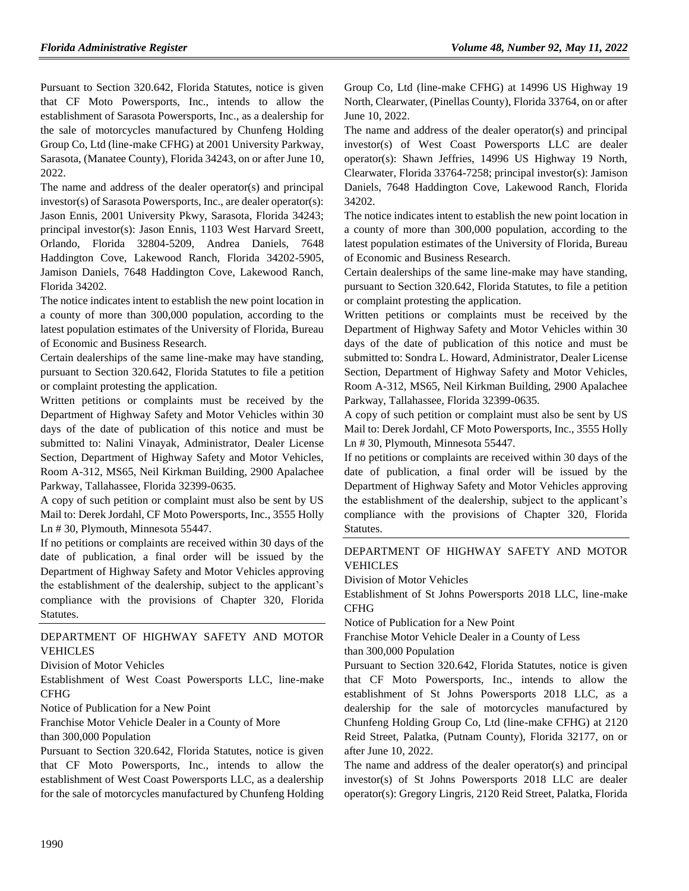Pursuant to Section 320.642, Florida Statutes, notice is given that CF Moto Powersports, Inc., intends to allow the establishment of Sarasota Powersports, Inc., as a dealership for the sale of motorcycles manufactured by Chunfeng Holding Group Co, Ltd (line-make CFHG) at 2001 University Parkway, Sarasota, (Manatee County), Florida 34243, on or after June 10, 2022.

The name and address of the dealer operator(s) and principal investor(s) of Sarasota Powersports, Inc., are dealer operator(s): Jason Ennis, 2001 University Pkwy, Sarasota, Florida 34243; principal investor(s): Jason Ennis, 1103 West Harvard Sreett, Orlando, Florida 32804-5209, Andrea Daniels, 7648 Haddington Cove, Lakewood Ranch, Florida 34202-5905, Jamison Daniels, 7648 Haddington Cove, Lakewood Ranch, Florida 34202.

The notice indicates intent to establish the new point location in a county of more than 300,000 population, according to the latest population estimates of the University of Florida, Bureau of Economic and Business Research.

Certain dealerships of the same line-make may have standing, pursuant to Section 320.642, Florida Statutes to file a petition or complaint protesting the application.

Written petitions or complaints must be received by the Department of Highway Safety and Motor Vehicles within 30 days of the date of publication of this notice and must be submitted to: Nalini Vinayak, Administrator, Dealer License Section, Department of Highway Safety and Motor Vehicles, Room A-312, MS65, Neil Kirkman Building, 2900 Apalachee Parkway, Tallahassee, Florida 32399-0635.

A copy of such petition or complaint must also be sent by US Mail to: Derek Jordahl, CF Moto Powersports, Inc., 3555 Holly Ln # 30, Plymouth, Minnesota 55447.

If no petitions or complaints are received within 30 days of the date of publication, a final order will be issued by the Department of Highway Safety and Motor Vehicles approving the establishment of the dealership, subject to the applicant's compliance with the provisions of Chapter 320, Florida Statutes.

### [DEPARTMENT OF HIGHWAY SAFETY AND MOTOR](https://www.flrules.org/gateway/department.asp?id=15)  [VEHICLES](https://www.flrules.org/gateway/department.asp?id=15)

[Division of Motor Vehicles](https://www.flrules.org/gateway/organization.asp?id=42)

Establishment of West Coast Powersports LLC, line-make CFHG

Notice of Publication for a New Point

Franchise Motor Vehicle Dealer in a County of More than 300,000 Population

Pursuant to Section 320.642, Florida Statutes, notice is given that CF Moto Powersports, Inc., intends to allow the establishment of West Coast Powersports LLC, as a dealership for the sale of motorcycles manufactured by Chunfeng Holding

Group Co, Ltd (line-make CFHG) at 14996 US Highway 19 North, Clearwater, (Pinellas County), Florida 33764, on or after June 10, 2022.

The name and address of the dealer operator(s) and principal investor(s) of West Coast Powersports LLC are dealer operator(s): Shawn Jeffries, 14996 US Highway 19 North, Clearwater, Florida 33764-7258; principal investor(s): Jamison Daniels, 7648 Haddington Cove, Lakewood Ranch, Florida 34202.

The notice indicates intent to establish the new point location in a county of more than 300,000 population, according to the latest population estimates of the University of Florida, Bureau of Economic and Business Research.

Certain dealerships of the same line-make may have standing, pursuant to Section 320.642, Florida Statutes, to file a petition or complaint protesting the application.

Written petitions or complaints must be received by the Department of Highway Safety and Motor Vehicles within 30 days of the date of publication of this notice and must be submitted to: Sondra L. Howard, Administrator, Dealer License Section, Department of Highway Safety and Motor Vehicles, Room A-312, MS65, Neil Kirkman Building, 2900 Apalachee Parkway, Tallahassee, Florida 32399-0635.

A copy of such petition or complaint must also be sent by US Mail to: Derek Jordahl, CF Moto Powersports, Inc., 3555 Holly Ln # 30, Plymouth, Minnesota 55447.

If no petitions or complaints are received within 30 days of the date of publication, a final order will be issued by the Department of Highway Safety and Motor Vehicles approving the establishment of the dealership, subject to the applicant's compliance with the provisions of Chapter 320, Florida Statutes.

## [DEPARTMENT OF HIGHWAY SAFETY AND MOTOR](https://www.flrules.org/gateway/department.asp?id=15)  [VEHICLES](https://www.flrules.org/gateway/department.asp?id=15)

[Division of Motor Vehicles](https://www.flrules.org/gateway/organization.asp?id=42)

Establishment of St Johns Powersports 2018 LLC, line-make CFHG

Notice of Publication for a New Point

Franchise Motor Vehicle Dealer in a County of Less

than 300,000 Population

Pursuant to Section 320.642, Florida Statutes, notice is given that CF Moto Powersports, Inc., intends to allow the establishment of St Johns Powersports 2018 LLC, as a dealership for the sale of motorcycles manufactured by Chunfeng Holding Group Co, Ltd (line-make CFHG) at 2120 Reid Street, Palatka, (Putnam County), Florida 32177, on or after June 10, 2022.

The name and address of the dealer operator(s) and principal investor(s) of St Johns Powersports 2018 LLC are dealer operator(s): Gregory Lingris, 2120 Reid Street, Palatka, Florida